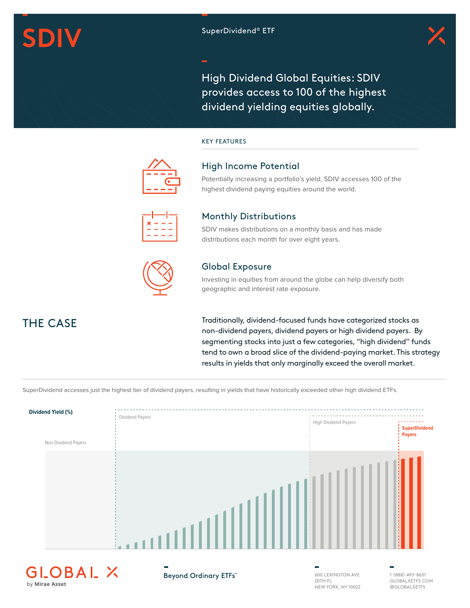# **SDIV** SuperDividend® ETF



High Dividend Global Equities: SDIV provides access to 100 of the highest dividend yielding equities globally.

#### KEY FEATURES



### High Income Potential

Potentially increasing a portfolio's yield, SDIV accesses 100 of the highest dividend paying equities around the world.

| ________ |                        | $\mathcal{L}^{\text{max}}_{\text{max}}$ and $\mathcal{L}^{\text{max}}_{\text{max}}$ and $\mathcal{L}^{\text{max}}_{\text{max}}$ | ________               |
|----------|------------------------|---------------------------------------------------------------------------------------------------------------------------------|------------------------|
|          | <b>Service Service</b> | <b>Service Service</b>                                                                                                          | <b>Service Service</b> |
|          |                        |                                                                                                                                 |                        |
| $\sim$   | $\sim$                 | $\sim$                                                                                                                          |                        |
| _        | _                      |                                                                                                                                 |                        |
| $\sim$   | <b>Service Service</b> | <b>Contract Contract Contract Contract Contract Contract Contract Contract Contract Contract Contract Contract Co</b>           | <b>Service Service</b> |
| _        |                        |                                                                                                                                 | -                      |

#### Monthly Distributions

SDIV makes distributions on a monthly basis and has made distributions each month for over eight years.



## Global Exposure

Investing in equities from around the globe can help diversify both geographic and interest rate exposure.

Traditionally, dividend-focused funds have categorized stocks as non-dividend payers, dividend payers or high dividend payers. By segmenting stocks into just a few categories, "high dividend" funds tend to own a broad slice of the dividend-paying market. This strategy results in yields that only marginally exceed the overall market.

SuperDividend accesses just the highest tier of dividend payers, resulting in yields that have historically exceeded other high dividend ETFs.



by Mirae Asset

THE CASE

Beyond Ordinary ETFs"

600 LEXINGTON AVE 20TH FL NEW YORK, NY 10022 1 (888) 493-8631 GLOBALXETFS.COM @GLOBALXETFS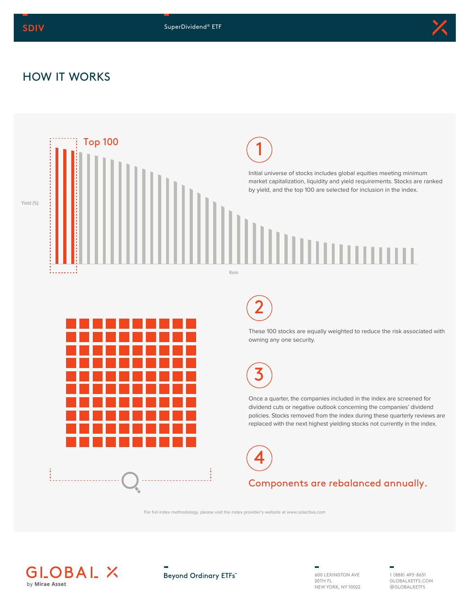

# HOW IT WORKS



For full index methodology, please visit the index provider's website at www.solactive.com



Beyond Ordinary ETFs"

600 LEXINGTON AVE 20TH FL NEW YORK, NY 10022

1 (888) 493-8631 GLOBALXETFS.COM @GLOBALXETFS